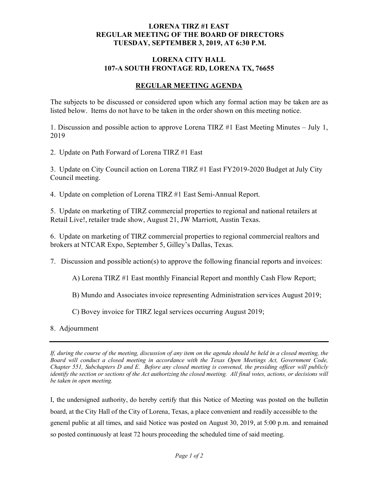## **LORENA TIRZ #1 EAST REGULAR MEETING OF THE BOARD OF DIRECTORS TUESDAY, SEPTEMBER 3, 2019, AT 6:30 P.M.**

## **LORENA CITY HALL** 107-A SOUTH **FRONTAGE RD, LORENA TX, 76655**

## **REGULAR MEETING AGENDA**

The subjects to be discussed or considered upon which any formal action may be taken are as listed below. Items do not have to be taken in the order shown on this meeting notice.

1. Discussion and possible action to approve Lorena TIRZ #1 East Meeting Minutes – July 1, 2019

2. Update on Path Forward of Lorena TIRZ #1 East

3. Update on City Council action on Lorena TIRZ #1 East FY2019-2020 Budget at July City Council meeting.

4. Update on completion of Lorena TIRZ #1 East Semi-Annual Report.

5. Update on marketing of TIRZ commercial properties to regional and national retailers at Retail Live!, retailer trade show, August 21, JW Marriott, Austin Texas.

6. Update on marketing of TIRZ commercial properties to regional commercial realtors and brokers at NTCAR Expo, September 5, Gilley's Dallas, Texas.

7. Discussion and possible action(s) to approve the following financial reports and invoices:

A) Lorena TIRZ #1 East monthly Financial Report and monthly Cash Flow Report;

B) Mundo and Associates invoice representing Administration services August 2019;

C) Bovey invoice for TIRZ legal services occurring August 2019;

8. Adjournment

*If, during the course of the meeting, discussion of any item on the agenda should be held in a closed meeting, the Board will conduct a closed meeting in accordance with the Texas Open Meetings Act, Government Code, Chapter 551, Subchapters D and E. Before any closed meeting is convened, the presiding officer will publicly identify the section or sections of the Act authorizing the closed meeting. All final votes, actions, or decisions will be taken in open meeting.*

I, the undersigned authority, do hereby certify that this Notice of Meeting was posted on the bulletin board, at the City Hall of the City of Lorena, Texas, a place convenient and readily accessible to the general public at all times, and said Notice was posted on August 30, 2019, at 5:00 p.m. and remained so posted continuously at least 72 hours proceeding the scheduled time of said meeting.